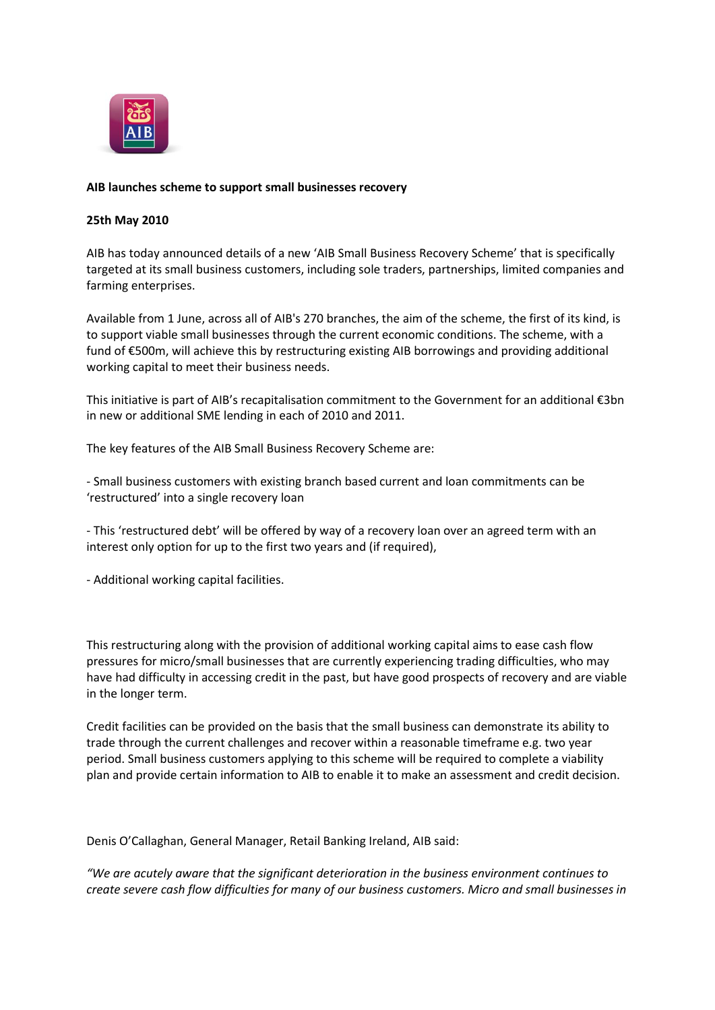

# **AIB launches scheme to support small businesses recovery**

# **25th May 2010**

AIB has today announced details of a new 'AIB Small Business Recovery Scheme' that is specifically targeted at its small business customers, including sole traders, partnerships, limited companies and farming enterprises.

Available from 1 June, across all of AIB's 270 branches, the aim of the scheme, the first of its kind, is to support viable small businesses through the current economic conditions. The scheme, with a fund of €500m, will achieve this by restructuring existing AIB borrowings and providing additional working capital to meet their business needs.

This initiative is part of AIB's recapitalisation commitment to the Government for an additional €3bn in new or additional SME lending in each of 2010 and 2011.

The key features of the AIB Small Business Recovery Scheme are:

- Small business customers with existing branch based current and loan commitments can be 'restructured' into a single recovery loan

- This 'restructured debt' will be offered by way of a recovery loan over an agreed term with an interest only option for up to the first two years and (if required),

- Additional working capital facilities.

This restructuring along with the provision of additional working capital aims to ease cash flow pressures for micro/small businesses that are currently experiencing trading difficulties, who may have had difficulty in accessing credit in the past, but have good prospects of recovery and are viable in the longer term.

Credit facilities can be provided on the basis that the small business can demonstrate its ability to trade through the current challenges and recover within a reasonable timeframe e.g. two year period. Small business customers applying to this scheme will be required to complete a viability plan and provide certain information to AIB to enable it to make an assessment and credit decision.

Denis O'Callaghan, General Manager, Retail Banking Ireland, AIB said:

*"We are acutely aware that the significant deterioration in the business environment continues to create severe cash flow difficulties for many of our business customers. Micro and small businesses in*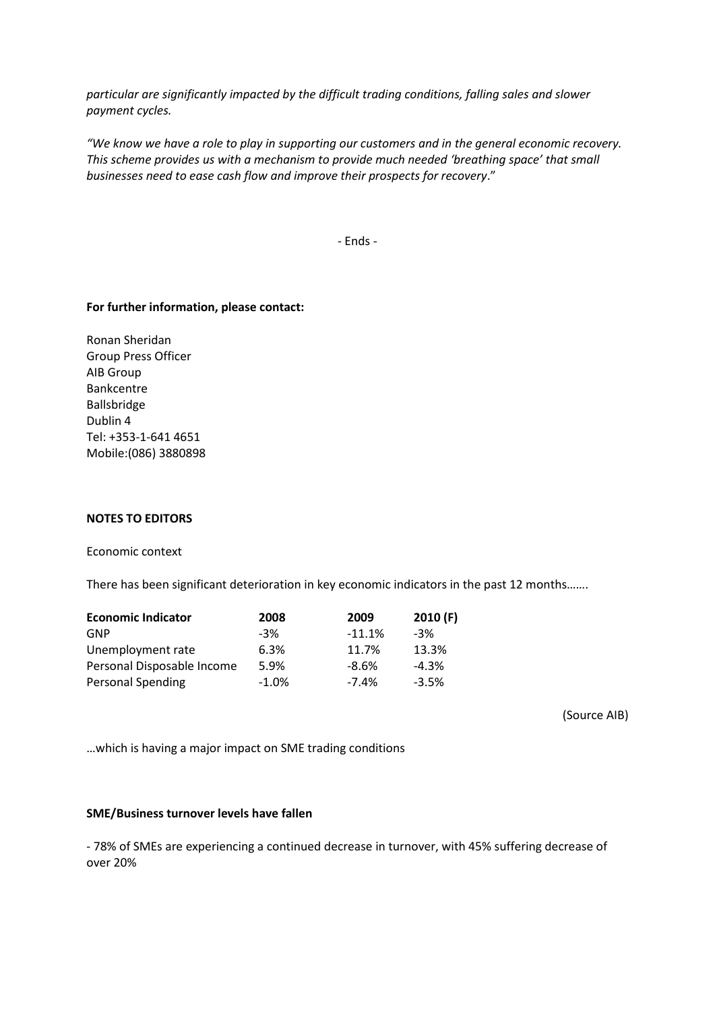*particular are significantly impacted by the difficult trading conditions, falling sales and slower payment cycles.*

*"We know we have a role to play in supporting our customers and in the general economic recovery. This scheme provides us with a mechanism to provide much needed 'breathing space' that small businesses need to ease cash flow and improve their prospects for recovery*."

- Ends -

# **For further information, please contact:**

Ronan Sheridan Group Press Officer AIB Group Bankcentre Ballsbridge Dublin 4 Tel: +353-1-641 4651 Mobile:(086) 3880898

## **NOTES TO EDITORS**

Economic context

There has been significant deterioration in key economic indicators in the past 12 months…….

| <b>Economic Indicator</b>  | 2008    | 2009     | 2010(F) |
|----------------------------|---------|----------|---------|
| GNP                        | $-3%$   | $-11.1%$ | -3%     |
| Unemployment rate          | 6.3%    | 11.7%    | 13.3%   |
| Personal Disposable Income | 5.9%    | $-8.6%$  | $-4.3%$ |
| <b>Personal Spending</b>   | $-1.0%$ | $-7.4%$  | $-3.5%$ |

(Source AIB)

…which is having a major impact on SME trading conditions

### **SME/Business turnover levels have fallen**

- 78% of SMEs are experiencing a continued decrease in turnover, with 45% suffering decrease of over 20%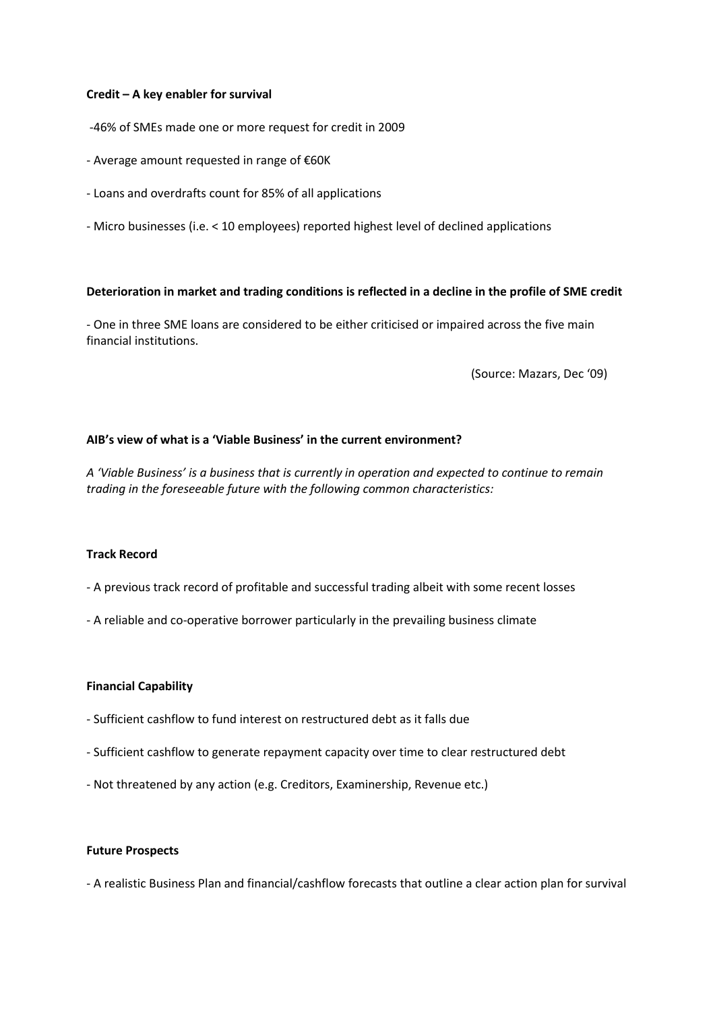## **Credit – A key enabler for survival**

- -46% of SMEs made one or more request for credit in 2009
- Average amount requested in range of €60K
- Loans and overdrafts count for 85% of all applications
- Micro businesses (i.e. < 10 employees) reported highest level of declined applications

## **Deterioration in market and trading conditions is reflected in a decline in the profile of SME credit**

- One in three SME loans are considered to be either criticised or impaired across the five main financial institutions.

(Source: Mazars, Dec '09)

# **AIB's view of what is a 'Viable Business' in the current environment?**

*A 'Viable Business' is a business that is currently in operation and expected to continue to remain trading in the foreseeable future with the following common characteristics:*

### **Track Record**

- A previous track record of profitable and successful trading albeit with some recent losses
- A reliable and co-operative borrower particularly in the prevailing business climate

### **Financial Capability**

- Sufficient cashflow to fund interest on restructured debt as it falls due
- Sufficient cashflow to generate repayment capacity over time to clear restructured debt
- Not threatened by any action (e.g. Creditors, Examinership, Revenue etc.)

### **Future Prospects**

- A realistic Business Plan and financial/cashflow forecasts that outline a clear action plan for survival